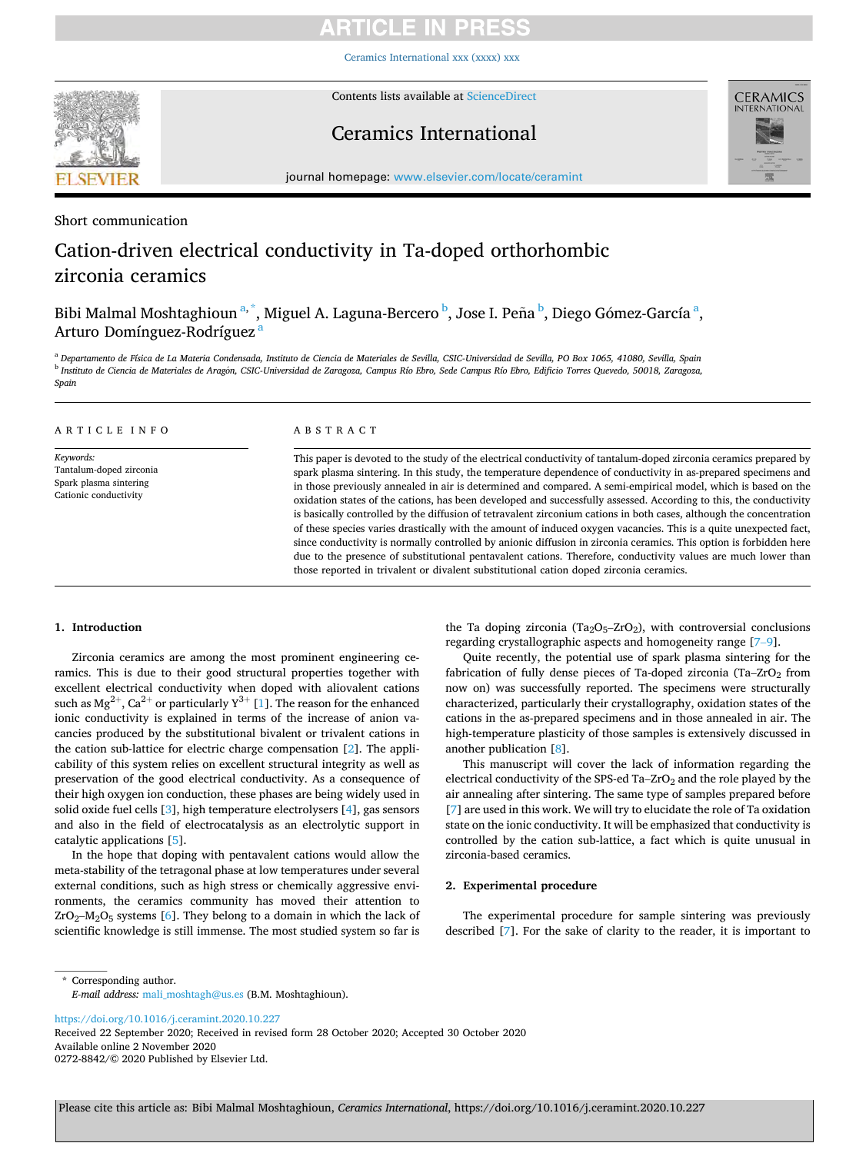# TICI E IN

Ceramics [International xxx \(xxxx\) xxx](https://doi.org/10.1016/j.ceramint.2020.10.227)



Contents lists available at [ScienceDirect](www.sciencedirect.com/science/journal/02728842)

# Ceramics International



journal homepage: [www.elsevier.com/locate/ceramint](https://www.elsevier.com/locate/ceramint) 

# Short communication

# Cation-driven electrical conductivity in Ta-doped orthorhombic zirconia ceramics

Bibi Malmal Moshtaghioun <sup>a, \*</sup>, Miguel A. Laguna-Bercero <sup>b</sup>, Jose I. Peña <sup>b</sup>, Diego Gómez-García <sup>a</sup>, Arturo Domínguez-Rodríguez <sup>a</sup>

<sup>a</sup> *Departamento de Física de La Materia Condensada, Instituto de Ciencia de Materiales de Sevilla, CSIC-Universidad de Sevilla, PO Box 1065, 41080, Sevilla, Spain*  <sup>b</sup> *Instituto de Ciencia de Materiales de Aragon, CSIC-Universidad de Zaragoza, Campus Río Ebro, Sede Campus Río Ebro, Edificio Torres Quevedo, 50018, Zaragoza,* ´ *Spain* 

| ARTICLE INFO                                                                            | A B S T R A C T                                                                                                                                                                                                                                                                                                                                                                                                                                                                                                                                                                                                                                                                                                                                                                                                                                                                                                                                               |  |  |
|-----------------------------------------------------------------------------------------|---------------------------------------------------------------------------------------------------------------------------------------------------------------------------------------------------------------------------------------------------------------------------------------------------------------------------------------------------------------------------------------------------------------------------------------------------------------------------------------------------------------------------------------------------------------------------------------------------------------------------------------------------------------------------------------------------------------------------------------------------------------------------------------------------------------------------------------------------------------------------------------------------------------------------------------------------------------|--|--|
| Keywords:<br>Tantalum-doped zirconia<br>Spark plasma sintering<br>Cationic conductivity | This paper is devoted to the study of the electrical conductivity of tantalum-doped zirconia ceramics prepared by<br>spark plasma sintering. In this study, the temperature dependence of conductivity in as-prepared specimens and<br>in those previously annealed in air is determined and compared. A semi-empirical model, which is based on the<br>oxidation states of the cations, has been developed and successfully assessed. According to this, the conductivity<br>is basically controlled by the diffusion of tetravalent zirconium cations in both cases, although the concentration<br>of these species varies drastically with the amount of induced oxygen vacancies. This is a quite unexpected fact,<br>since conductivity is normally controlled by anionic diffusion in zirconia ceramics. This option is forbidden here<br>due to the presence of substitutional pentavalent cations. Therefore, conductivity values are much lower than |  |  |

those reported in trivalent or divalent substitutional cation doped zirconia ceramics.

## **1. Introduction**

Zirconia ceramics are among the most prominent engineering ceramics. This is due to their good structural properties together with excellent electrical conductivity when doped with aliovalent cations such as  $Mg^{2+}$ , Ca<sup>2+</sup> or particularly  $Y^{3+}$  [[1](#page-4-0)]. The reason for the enhanced ionic conductivity is explained in terms of the increase of anion vacancies produced by the substitutional bivalent or trivalent cations in the cation sub-lattice for electric charge compensation [\[2\]](#page-4-0). The applicability of this system relies on excellent structural integrity as well as preservation of the good electrical conductivity. As a consequence of their high oxygen ion conduction, these phases are being widely used in solid oxide fuel cells [[3](#page-4-0)], high temperature electrolysers [[4](#page-4-0)], gas sensors and also in the field of electrocatalysis as an electrolytic support in catalytic applications [\[5\]](#page-4-0).

In the hope that doping with pentavalent cations would allow the meta-stability of the tetragonal phase at low temperatures under several external conditions, such as high stress or chemically aggressive environments, the ceramics community has moved their attention to  $ZrO_2-M_2O_5$  systems [[6](#page-4-0)]. They belong to a domain in which the lack of scientific knowledge is still immense. The most studied system so far is the Ta doping zirconia (Ta<sub>2</sub>O<sub>5</sub>-ZrO<sub>2</sub>), with controversial conclusions regarding crystallographic aspects and homogeneity range [7–[9\]](#page-4-0).

Quite recently, the potential use of spark plasma sintering for the fabrication of fully dense pieces of Ta-doped zirconia (Ta–ZrO $_2$  from now on) was successfully reported. The specimens were structurally characterized, particularly their crystallography, oxidation states of the cations in the as-prepared specimens and in those annealed in air. The high-temperature plasticity of those samples is extensively discussed in another publication [[8](#page-4-0)].

This manuscript will cover the lack of information regarding the electrical conductivity of the SPS-ed Ta- $ZrO<sub>2</sub>$  and the role played by the air annealing after sintering. The same type of samples prepared before [[7](#page-4-0)] are used in this work. We will try to elucidate the role of Ta oxidation state on the ionic conductivity. It will be emphasized that conductivity is controlled by the cation sub-lattice, a fact which is quite unusual in zirconia-based ceramics.

## **2. Experimental procedure**

The experimental procedure for sample sintering was previously described [[7](#page-4-0)]. For the sake of clarity to the reader, it is important to

\* Corresponding author.

<https://doi.org/10.1016/j.ceramint.2020.10.227>

Available online 2 November 2020 0272-8842/© 2020 Published by Elsevier Ltd. Received 22 September 2020; Received in revised form 28 October 2020; Accepted 30 October 2020

*E-mail address:* [mali\\_moshtagh@us.es](mailto:mali_moshtagh@us.es) (B.M. Moshtaghioun).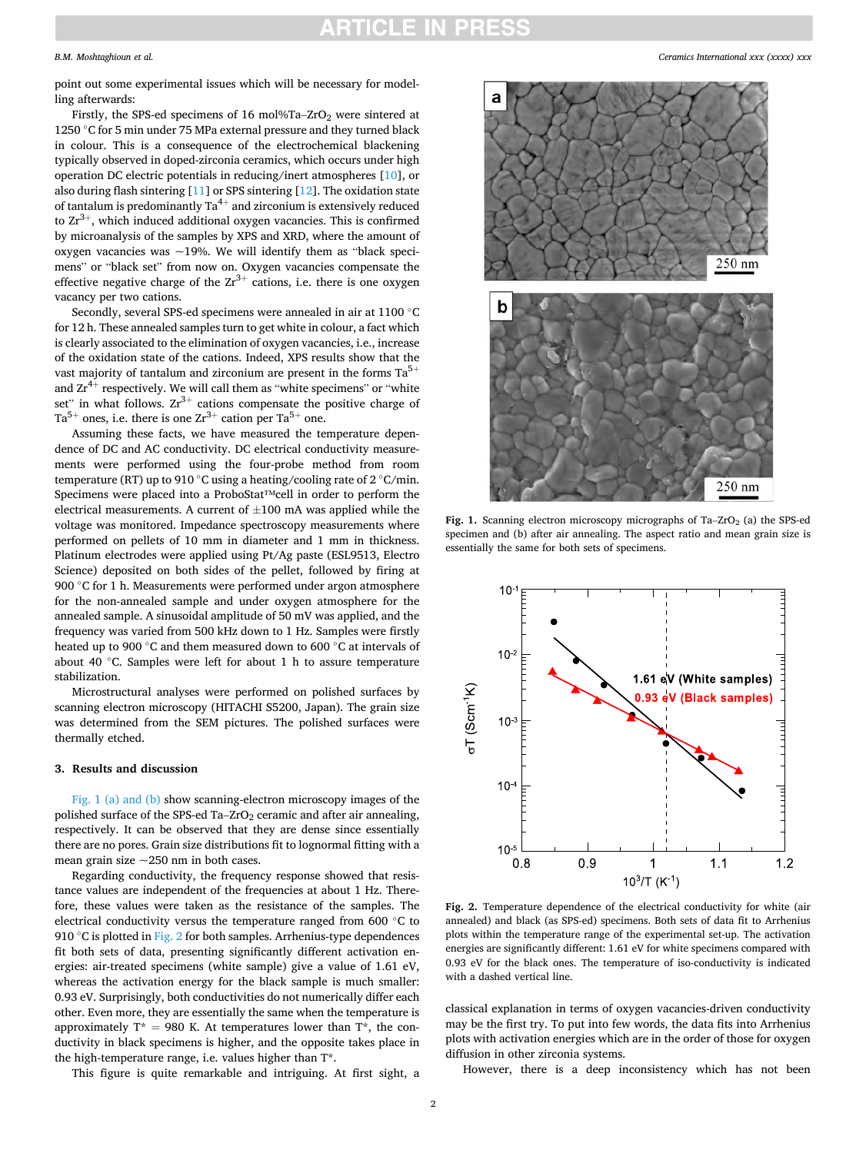# RTICLE IN

### <span id="page-1-0"></span>*B.M. Moshtaghioun et al.*

point out some experimental issues which will be necessary for modelling afterwards:

Firstly, the SPS-ed specimens of 16 mol%Ta–ZrO<sub>2</sub> were sintered at 1250 ◦C for 5 min under 75 MPa external pressure and they turned black in colour. This is a consequence of the electrochemical blackening typically observed in doped-zirconia ceramics, which occurs under high operation DC electric potentials in reducing/inert atmospheres [\[10](#page-4-0)], or also during flash sintering [\[11](#page-4-0)] or SPS sintering [\[12](#page-4-0)]. The oxidation state of tantalum is predominantly  $Ta^{4+}$  and zirconium is extensively reduced to  $Zr^{3+}$ , which induced additional oxygen vacancies. This is confirmed by microanalysis of the samples by XPS and XRD, where the amount of oxygen vacancies was  $\sim$ 19%. We will identify them as "black specimens" or "black set" from now on. Oxygen vacancies compensate the effective negative charge of the  $Zr^{3+}$  cations, i.e. there is one oxygen vacancy per two cations.

Secondly, several SPS-ed specimens were annealed in air at 1100 ◦C for 12 h. These annealed samples turn to get white in colour, a fact which is clearly associated to the elimination of oxygen vacancies, i.e., increase of the oxidation state of the cations. Indeed, XPS results show that the vast majority of tantalum and zirconium are present in the forms  $Ta^{5+}$ and  $Zr^{4+}$  respectively. We will call them as "white specimens" or "white set" in what follows.  $Zr^{3+}$  cations compensate the positive charge of  $Ta^{5+}$  ones, i.e. there is one  $Zr^{3+}$  cation per  $Ta^{5+}$  one.

Assuming these facts, we have measured the temperature dependence of DC and AC conductivity. DC electrical conductivity measurements were performed using the four-probe method from room temperature (RT) up to 910 ◦C using a heating/cooling rate of 2 ◦C/min. Specimens were placed into a ProboStat™cell in order to perform the electrical measurements. A current of  $\pm 100$  mA was applied while the voltage was monitored. Impedance spectroscopy measurements where performed on pellets of 10 mm in diameter and 1 mm in thickness. Platinum electrodes were applied using Pt/Ag paste (ESL9513, Electro Science) deposited on both sides of the pellet, followed by firing at 900 ℃ for 1 h. Measurements were performed under argon atmosphere for the non-annealed sample and under oxygen atmosphere for the annealed sample. A sinusoidal amplitude of 50 mV was applied, and the frequency was varied from 500 kHz down to 1 Hz. Samples were firstly heated up to 900 ◦C and them measured down to 600 ◦C at intervals of about 40 ◦C. Samples were left for about 1 h to assure temperature stabilization.

Microstructural analyses were performed on polished surfaces by scanning electron microscopy (HITACHI S5200, Japan). The grain size was determined from the SEM pictures. The polished surfaces were thermally etched.

## **3. Results and discussion**

Fig. 1 (a) and (b) show scanning-electron microscopy images of the polished surface of the SPS-ed Ta–ZrO<sub>2</sub> ceramic and after air annealing, respectively. It can be observed that they are dense since essentially there are no pores. Grain size distributions fit to lognormal fitting with a mean grain size ~250 nm in both cases.

Regarding conductivity, the frequency response showed that resistance values are independent of the frequencies at about 1 Hz. Therefore, these values were taken as the resistance of the samples. The electrical conductivity versus the temperature ranged from 600 ◦C to 910  $\degree$ C is plotted in Fig. 2 for both samples. Arrhenius-type dependences fit both sets of data, presenting significantly different activation energies: air-treated specimens (white sample) give a value of 1.61 eV, whereas the activation energy for the black sample is much smaller: 0.93 eV. Surprisingly, both conductivities do not numerically differ each other. Even more, they are essentially the same when the temperature is approximately  $T^* = 980$  K. At temperatures lower than  $T^*$ , the conductivity in black specimens is higher, and the opposite takes place in the high-temperature range, i.e. values higher than T\*.

This figure is quite remarkable and intriguing. At first sight, a



**Fig. 1.** Scanning electron microscopy micrographs of Ta–ZrO<sub>2</sub> (a) the SPS-ed specimen and (b) after air annealing. The aspect ratio and mean grain size is essentially the same for both sets of specimens.



Fig. 2. Temperature dependence of the electrical conductivity for white (air annealed) and black (as SPS-ed) specimens. Both sets of data fit to Arrhenius plots within the temperature range of the experimental set-up. The activation energies are significantly different: 1.61 eV for white specimens compared with 0.93 eV for the black ones. The temperature of iso-conductivity is indicated with a dashed vertical line.

classical explanation in terms of oxygen vacancies-driven conductivity may be the first try. To put into few words, the data fits into Arrhenius plots with activation energies which are in the order of those for oxygen diffusion in other zirconia systems.

However, there is a deep inconsistency which has not been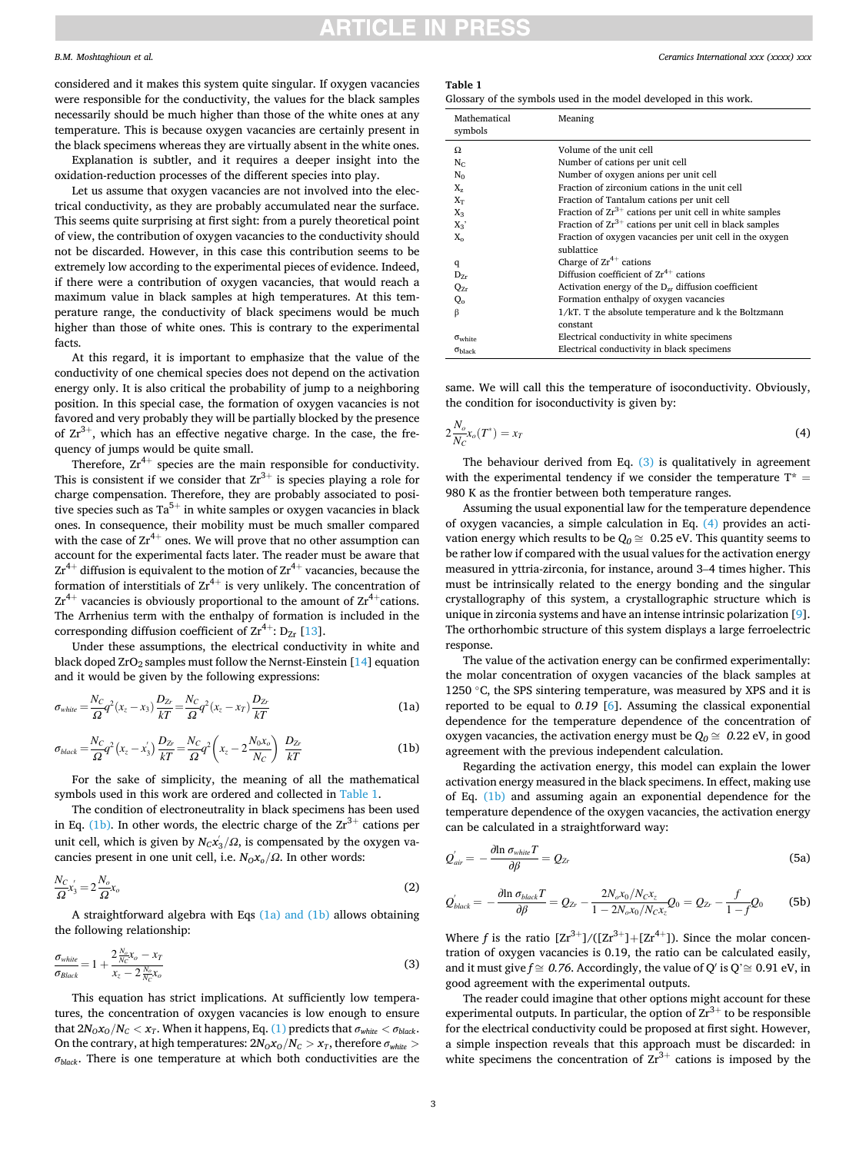# ITICLE IN

### *B.M. Moshtaghioun et al.*

considered and it makes this system quite singular. If oxygen vacancies were responsible for the conductivity, the values for the black samples necessarily should be much higher than those of the white ones at any temperature. This is because oxygen vacancies are certainly present in the black specimens whereas they are virtually absent in the white ones.

Explanation is subtler, and it requires a deeper insight into the oxidation-reduction processes of the different species into play.

Let us assume that oxygen vacancies are not involved into the electrical conductivity, as they are probably accumulated near the surface. This seems quite surprising at first sight: from a purely theoretical point of view, the contribution of oxygen vacancies to the conductivity should not be discarded. However, in this case this contribution seems to be extremely low according to the experimental pieces of evidence. Indeed, if there were a contribution of oxygen vacancies, that would reach a maximum value in black samples at high temperatures. At this temperature range, the conductivity of black specimens would be much higher than those of white ones. This is contrary to the experimental facts.

At this regard, it is important to emphasize that the value of the conductivity of one chemical species does not depend on the activation energy only. It is also critical the probability of jump to a neighboring position. In this special case, the formation of oxygen vacancies is not favored and very probably they will be partially blocked by the presence of  $Zr^{3+}$ , which has an effective negative charge. In the case, the frequency of jumps would be quite small.

Therefore,  $Zr^{4+}$  species are the main responsible for conductivity. This is consistent if we consider that  $Zr^{3+}$  is species playing a role for charge compensation. Therefore, they are probably associated to positive species such as  $Ta^{5+}$  in white samples or oxygen vacancies in black ones. In consequence, their mobility must be much smaller compared with the case of  $Zr^{4+}$  ones. We will prove that no other assumption can account for the experimental facts later. The reader must be aware that  $Zr^{4+}$  diffusion is equivalent to the motion of  $Zr^{4+}$  vacancies, because the formation of interstitials of  $Zr^{4+}$  is very unlikely. The concentration of  $Zr^{4+}$  vacancies is obviously proportional to the amount of  $Zr^{4+}$ cations. The Arrhenius term with the enthalpy of formation is included in the corresponding diffusion coefficient of  $\text{Zr}^{4+}$ : D<sub>Zr</sub> [[13\]](#page-4-0).

Under these assumptions, the electrical conductivity in white and black doped  $ZrO_2$  samples must follow the Nernst-Einstein [[14\]](#page-4-0) equation and it would be given by the following expressions:

$$
\sigma_{white} = \frac{N_C}{\Omega} q^2 (x_z - x_3) \frac{D_{Zr}}{kT} = \frac{N_C}{\Omega} q^2 (x_z - x_T) \frac{D_{Zr}}{kT}
$$
(1a)

$$
\sigma_{black} = \frac{N_C}{\Omega} q^2 (x_z - x'_3) \frac{D_{Zr}}{kT} = \frac{N_C}{\Omega} q^2 (x_z - 2 \frac{N_0 x_o}{N_C}) \frac{D_{Zr}}{kT}
$$
(1b)

For the sake of simplicity, the meaning of all the mathematical symbols used in this work are ordered and collected in Table 1.

The condition of electroneutrality in black specimens has been used in Eq. (1b). In other words, the electric charge of the  $2r^{3+}$  cations per unit cell, which is given by  $N_C x'_{3}/Ω$ , is compensated by the oxygen vacancies present in one unit cell, i.e.  $N_0x_0/\Omega$ . In other words:

$$
\frac{N_C}{\Omega} x_3' = 2 \frac{N_o}{\Omega} x_o \tag{2}
$$

A straightforward algebra with Eqs (1a) and (1b) allows obtaining the following relationship:

$$
\frac{\sigma_{white}}{\sigma_{Black}} = 1 + \frac{2 \frac{N_o}{N_c} x_o - x_T}{x_z - 2 \frac{N_a}{N_c} x_o} \tag{3}
$$

This equation has strict implications. At sufficiently low temperatures, the concentration of oxygen vacancies is low enough to ensure that  $2N_0x_0/N_c < x_T$ . When it happens, Eq. (1) predicts that  $\sigma_{white} < \sigma_{black}$ . On the contrary, at high temperatures:  $2N_0x_0/N_C > x_T$ , therefore  $\sigma_{white} >$ *σblack*. There is one temperature at which both conductivities are the

### **Table 1**

Glossary of the symbols used in the model developed in this work.

| Mathematical<br>symbols | Meaning                                                      |
|-------------------------|--------------------------------------------------------------|
| Ω                       | Volume of the unit cell                                      |
| $N_{C}$                 | Number of cations per unit cell                              |
| $N_0$                   | Number of oxygen anions per unit cell                        |
| $X_{z}$                 | Fraction of zirconium cations in the unit cell               |
| $X_T$                   | Fraction of Tantalum cations per unit cell                   |
| $X_3$                   | Fraction of $Zr^{3+}$ cations per unit cell in white samples |
| $X_3'$                  | Fraction of $Zr^{3+}$ cations per unit cell in black samples |
| $X_{0}$                 | Fraction of oxygen vacancies per unit cell in the oxygen     |
|                         | sublattice                                                   |
| q                       | Charge of $Zr^{4+}$ cations                                  |
| $D_{Zr}$                | Diffusion coefficient of $Zr^{4+}$ cations                   |
| $Q_{Zr}$                | Activation energy of the $D_{zr}$ diffusion coefficient      |
| $Q_0$                   | Formation enthalpy of oxygen vacancies                       |
| β                       | 1/kT. T the absolute temperature and k the Boltzmann         |
|                         | constant                                                     |
| $\sigma_{\rm white}$    | Electrical conductivity in white specimens                   |
| $\sigma_{black}$        | Electrical conductivity in black specimens                   |
|                         |                                                              |

same. We will call this the temperature of isoconductivity. Obviously, the condition for isoconductivity is given by:

$$
2\frac{N_o}{N_c}x_o(T^*) = x_T\tag{4}
$$

The behaviour derived from Eq. (3) is qualitatively in agreement with the experimental tendency if we consider the temperature  $T^*$  = 980 K as the frontier between both temperature ranges.

Assuming the usual exponential law for the temperature dependence of oxygen vacancies, a simple calculation in Eq. (4) provides an activation energy which results to be  $Q_0 \cong 0.25$  eV. This quantity seems to be rather low if compared with the usual values for the activation energy measured in yttria-zirconia, for instance, around 3–4 times higher. This must be intrinsically related to the energy bonding and the singular crystallography of this system, a crystallographic structure which is unique in zirconia systems and have an intense intrinsic polarization [[9](#page-4-0)]. The orthorhombic structure of this system displays a large ferroelectric response.

The value of the activation energy can be confirmed experimentally: the molar concentration of oxygen vacancies of the black samples at 1250  $\degree$ C, the SPS sintering temperature, was measured by XPS and it is reported to be equal to *0.19* [\[6\]](#page-4-0). Assuming the classical exponential dependence for the temperature dependence of the concentration of oxygen vacancies, the activation energy must be  $Q_0 \cong 0.22$  eV, in good agreement with the previous independent calculation.

Regarding the activation energy, this model can explain the lower activation energy measured in the black specimens. In effect, making use of Eq. (1b) and assuming again an exponential dependence for the temperature dependence of the oxygen vacancies, the activation energy can be calculated in a straightforward way:

$$
Q'_{air} = -\frac{\partial \ln \sigma_{white} T}{\partial \beta} = Q_{Zr}
$$
\n(5a)

$$
Q'_{black} = -\frac{\partial \ln \sigma_{black} T}{\partial \beta} = Q_{Zr} - \frac{2N_o x_0 / N_c x_z}{1 - 2N_o x_0 / N_c x_z} Q_0 = Q_{Zr} - \frac{f}{1 - f} Q_0
$$
 (5b)

Where *f* is the ratio  $\frac{Zr^{3+}}{Zr^{3+}}$  ( $\frac{Zr^{3+}}{Zr^{4+}}$ ). Since the molar concentration of oxygen vacancies is 0.19, the ratio can be calculated easily, and it must give  $f \approx 0.76$ . Accordingly, the value of Q' is  $Q \approx 0.91$  eV, in good agreement with the experimental outputs.

The reader could imagine that other options might account for these experimental outputs. In particular, the option of  $2r^{3+}$  to be responsible for the electrical conductivity could be proposed at first sight. However, a simple inspection reveals that this approach must be discarded: in white specimens the concentration of  $Zr^{3+}$  cations is imposed by the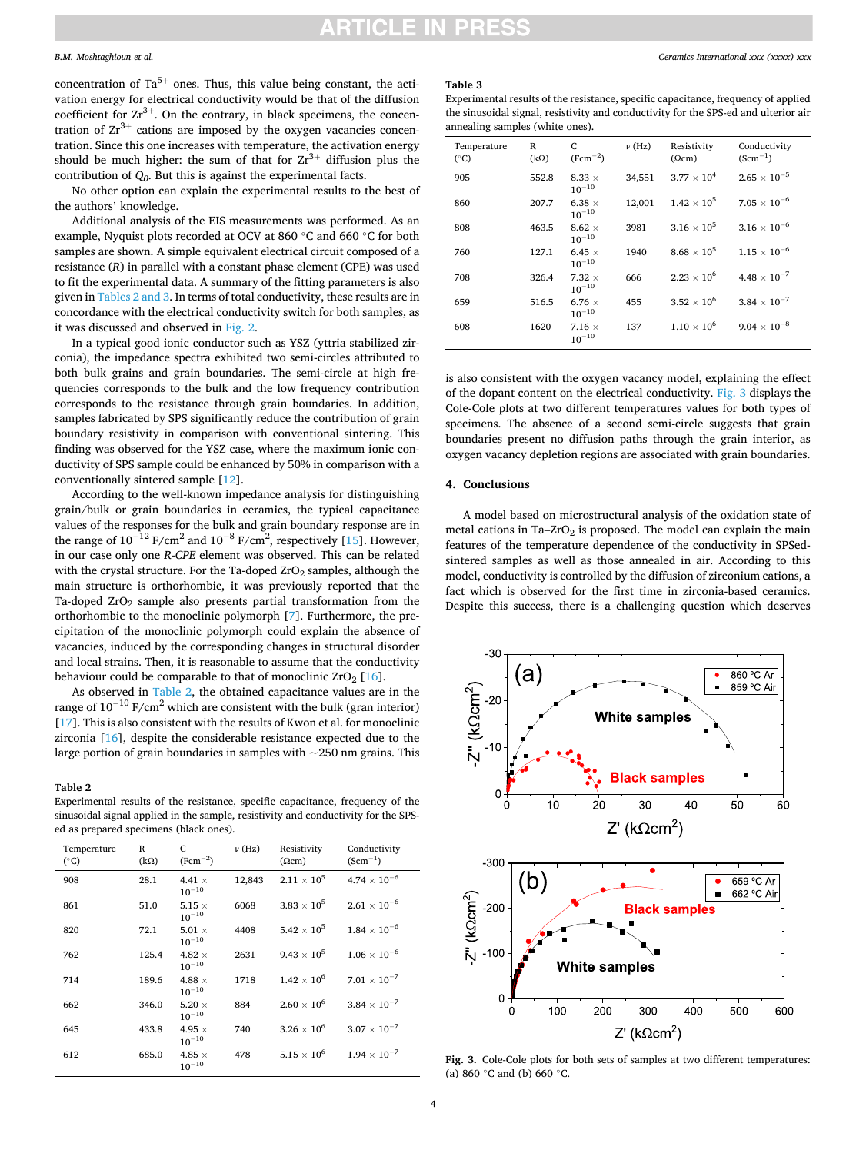## *B.M. Moshtaghioun et al.*

concentration of  $Ta^{5+}$  ones. Thus, this value being constant, the activation energy for electrical conductivity would be that of the diffusion coefficient for  $Zr^{3+}$ . On the contrary, in black specimens, the concentration of  $Zr^{3+}$  cations are imposed by the oxygen vacancies concentration. Since this one increases with temperature, the activation energy should be much higher: the sum of that for  $Zr^{3+}$  diffusion plus the contribution of *Q0*. But this is against the experimental facts.

No other option can explain the experimental results to the best of the authors' knowledge.

Additional analysis of the EIS measurements was performed. As an example, Nyquist plots recorded at OCV at 860 ◦C and 660 ◦C for both samples are shown. A simple equivalent electrical circuit composed of a resistance (*R*) in parallel with a constant phase element (CPE) was used to fit the experimental data. A summary of the fitting parameters is also given in Tables 2 and 3. In terms of total conductivity, these results are in concordance with the electrical conductivity switch for both samples, as it was discussed and observed in [Fig. 2](#page-1-0).

In a typical good ionic conductor such as YSZ (yttria stabilized zirconia), the impedance spectra exhibited two semi-circles attributed to both bulk grains and grain boundaries. The semi-circle at high frequencies corresponds to the bulk and the low frequency contribution corresponds to the resistance through grain boundaries. In addition, samples fabricated by SPS significantly reduce the contribution of grain boundary resistivity in comparison with conventional sintering. This finding was observed for the YSZ case, where the maximum ionic conductivity of SPS sample could be enhanced by 50% in comparison with a conventionally sintered sample [\[12](#page-4-0)].

According to the well-known impedance analysis for distinguishing grain/bulk or grain boundaries in ceramics, the typical capacitance values of the responses for the bulk and grain boundary response are in the range of  $10^{-12}$  F/cm<sup>2</sup> and  $10^{-8}$  F/cm<sup>2</sup>, respectively [[15\]](#page-4-0). However, in our case only one *R-CPE* element was observed. This can be related with the crystal structure. For the Ta-doped  $ZrO<sub>2</sub>$  samples, although the main structure is orthorhombic, it was previously reported that the Ta-doped  $ZrO<sub>2</sub>$  sample also presents partial transformation from the orthorhombic to the monoclinic polymorph [[7](#page-4-0)]. Furthermore, the precipitation of the monoclinic polymorph could explain the absence of vacancies, induced by the corresponding changes in structural disorder and local strains. Then, it is reasonable to assume that the conductivity behaviour could be comparable to that of monoclinic  $ZrO<sub>2</sub>$  [\[16](#page-4-0)].

As observed in Table 2, the obtained capacitance values are in the range of  $10^{-10}$  F/cm<sup>2</sup> which are consistent with the bulk (gran interior) [[17\]](#page-4-0). This is also consistent with the results of Kwon et al. for monoclinic zirconia [\[16](#page-4-0)], despite the considerable resistance expected due to the large portion of grain boundaries in samples with  $\sim$ 250 nm grains. This

### **Table 2**

Experimental results of the resistance, specific capacitance, frequency of the sinusoidal signal applied in the sample, resistivity and conductivity for the SPSed as prepared specimens (black ones).

| Conductivity<br>$(Scm^{-1})$<br>$4.74 \times 10^{-6}$ |
|-------------------------------------------------------|
|                                                       |
|                                                       |
| $2.61 \times 10^{-6}$                                 |
| $1.84 \times 10^{-6}$                                 |
| $1.06 \times 10^{-6}$                                 |
| $7.01 \times 10^{-7}$                                 |
| $3.84 \times 10^{-7}$                                 |
| $3.07 \times 10^{-7}$                                 |
| $1.94 \times 10^{-7}$                                 |
| $2.11\times10^5$                                      |

### **Table 3**

Experimental results of the resistance, specific capacitance, frequency of applied the sinusoidal signal, resistivity and conductivity for the SPS-ed and ulterior air annealing samples (white ones).

| Temperature<br>$(^{\circ}C)$ | R<br>$(k\Omega)$ | C<br>$(Fcm^{-2})$           | $\nu$ (Hz) | Resistivity<br>$(\Omega$ cm) | Conductivity<br>$(Scm^{-1})$ |
|------------------------------|------------------|-----------------------------|------------|------------------------------|------------------------------|
| 905                          | 552.8            | 8.33 $\times$<br>$10^{-10}$ | 34,551     | $3.77 \times 10^{4}$         | $2.65\times10^{-5}$          |
| 860                          | 207.7            | $6.38 \times$<br>$10^{-10}$ | 12,001     | $1.42 \times 10^{5}$         | $7.05 \times 10^{-6}$        |
| 808                          | 463.5            | $8.62 \times$<br>$10^{-10}$ | 3981       | $3.16 \times 10^5$           | $3.16 \times 10^{-6}$        |
| 760                          | 127.1            | 6.45 $\times$<br>$10^{-10}$ | 1940       | $8.68\times10^5$             | $1.15 \times 10^{-6}$        |
| 708                          | 326.4            | $7.32 \times$<br>$10^{-10}$ | 666        | $2.23 \times 10^{6}$         | $4.48 \times 10^{-7}$        |
| 659                          | 516.5            | $6.76 \times$<br>$10^{-10}$ | 455        | $3.52 \times 10^{6}$         | $3.84 \times 10^{-7}$        |
| 608                          | 1620             | $7.16 \times$<br>$10^{-10}$ | 137        | $1.10 \times 10^{6}$         | $9.04 \times 10^{-8}$        |

is also consistent with the oxygen vacancy model, explaining the effect of the dopant content on the electrical conductivity. Fig. 3 displays the Cole-Cole plots at two different temperatures values for both types of specimens. The absence of a second semi-circle suggests that grain boundaries present no diffusion paths through the grain interior, as oxygen vacancy depletion regions are associated with grain boundaries.

## **4. Conclusions**

A model based on microstructural analysis of the oxidation state of metal cations in Ta– $ZrO<sub>2</sub>$  is proposed. The model can explain the main features of the temperature dependence of the conductivity in SPSedsintered samples as well as those annealed in air. According to this model, conductivity is controlled by the diffusion of zirconium cations, a fact which is observed for the first time in zirconia-based ceramics. Despite this success, there is a challenging question which deserves



**Fig. 3.** Cole-Cole plots for both sets of samples at two different temperatures: (a) 860 ◦C and (b) 660 ◦C.